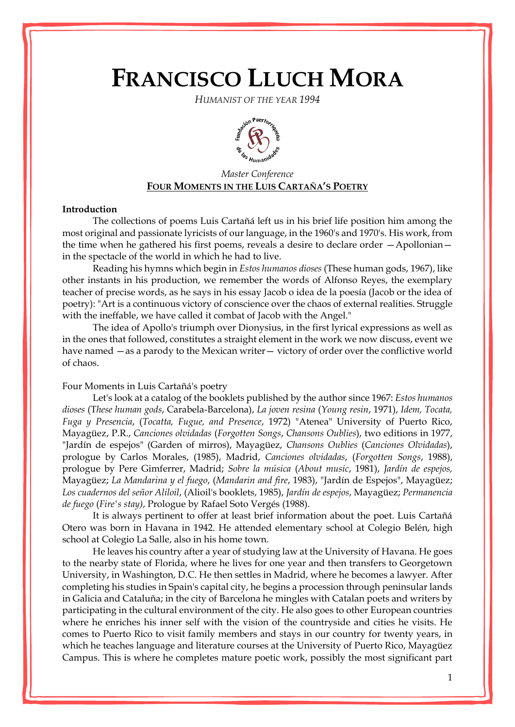# **FRANCISCO LLUCH MORA**

*HUMANIST OF THE YEAR 1994*



# *Master Conference* **FOUR MOMENTS IN THE LUIS CARTAÑA'S POETRY**

#### **Introduction**

The collections of poems Luis Cartañá left us in his brief life position him among the most original and passionate lyricists of our language, in the 1960's and 1970's. His work, from the time when he gathered his first poems, reveals a desire to declare order —Apollonian in the spectacle of the world in which he had to live.

Reading his hymns which begin in *Estos humanos dioses* (These human gods, 1967), like other instants in his production, we remember the words of Alfonso Reyes, the exemplary teacher of precise words, as he says in his essay Jacob o idea de la poesía (Jacob or the idea of poetry): "Art is a continuous victory of conscience over the chaos of external realities. Struggle with the ineffable, we have called it combat of Jacob with the Angel."

The idea of Apollo's triumph over Dionysius, in the first lyrical expressions as well as in the ones that followed, constitutes a straight element in the work we now discuss, event we have named —as a parody to the Mexican writer— victory of order over the conflictive world of chaos.

## Four Moments in Luis Cartañá's poetry

Let's look at a catalog of the booklets published by the author since 1967: *Estos humanos dioses* (T*hese human gods*, Carabela-Barcelona), *La joven resina* (*Young resin*, 1971), *Idem, Tocata, Fuga y Presencia*, (*Tocatta, Fugue, and Presence*, 1972) "Atenea" University of Puerto Rico, Mayagüez, P.R., *Canciones olvidadas* (*Forgotten Songs*, *Chansons Oublies*), two editions in 1977, "Jardín de espejos" (Garden of mirros), Mayagüez, *Chansons Oublies* (*Canciones Olvidadas*), prologue by Carlos Morales, (1985), Madrid, *Canciones olvidadas*, (*Forgotten Songs*, 1988), prologue by Pere Gimferrer, Madrid; *Sobre la música* (*About music*, 1981), *Jardín de espejos,* Mayagüez; *La Mandarina y el fuego*, (*Mandarin and fire*, 1983), "Jardín de Espejos", Mayagüez; *Los cuadernos del señor Aliloil*, (Alioil's booklets, 1985), *Jardín de espejos*, Mayagüez; *Permanencia de fuego* (*Fire's stay)*, Prologue by Rafael Soto Vergés (1988).

It is always pertinent to offer at least brief information about the poet. Luis Cartañá Otero was born in Havana in 1942. He attended elementary school at Colegio Belén, high school at Colegio La Salle, also in his home town.

He leaves his country after a year of studying law at the University of Havana. He goes to the nearby state of Florida, where he lives for one year and then transfers to Georgetown University, in Washington, D.C. He then settles in Madrid, where he becomes a lawyer. After completing his studies in Spain's capital city, he begins a procession through peninsular lands in Galicia and Cataluña; in the city of Barcelona he mingles with Catalan poets and writers by participating in the cultural environment of the city. He also goes to other European countries where he enriches his inner self with the vision of the countryside and cities he visits. He comes to Puerto Rico to visit family members and stays in our country for twenty years, in which he teaches language and literature courses at the University of Puerto Rico, Mayagüez Campus. This is where he completes mature poetic work, possibly the most significant part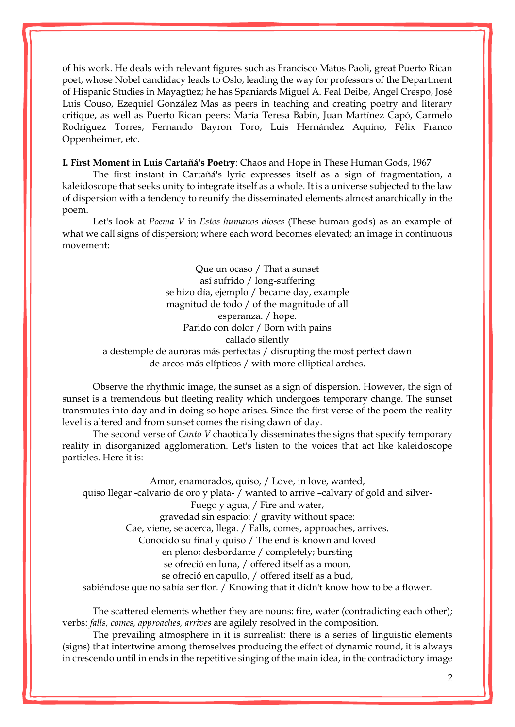of his work. He deals with relevant figures such as Francisco Matos Paoli, great Puerto Rican poet, whose Nobel candidacy leads to Oslo, leading the way for professors of the Department of Hispanic Studies in Mayagüez; he has Spaniards Miguel A. Feal Deibe, Angel Crespo, José Luis Couso, Ezequiel González Mas as peers in teaching and creating poetry and literary critique, as well as Puerto Rican peers: María Teresa Babín, Juan Martínez Capó, Carmelo Rodríguez Torres, Fernando Bayron Toro, Luis Hernández Aquino, Félix Franco Oppenheimer, etc.

**I. First Moment in Luis Cartañá's Poetry**: Chaos and Hope in These Human Gods, 1967

The first instant in Cartañá's lyric expresses itself as a sign of fragmentation, a kaleidoscope that seeks unity to integrate itself as a whole. It is a universe subjected to the law of dispersion with a tendency to reunify the disseminated elements almost anarchically in the poem.

Let's look at *Poema V* in *Estos humanos dioses* (These human gods) as an example of what we call signs of dispersion; where each word becomes elevated; an image in continuous movement:

> Que un ocaso / That a sunset así sufrido / long-suffering se hizo día, ejemplo / became day, example magnitud de todo / of the magnitude of all esperanza. / hope. Parido con dolor / Born with pains callado silently a destemple de auroras más perfectas / disrupting the most perfect dawn de arcos más elípticos / with more elliptical arches.

Observe the rhythmic image, the sunset as a sign of dispersion. However, the sign of sunset is a tremendous but fleeting reality which undergoes temporary change. The sunset transmutes into day and in doing so hope arises. Since the first verse of the poem the reality level is altered and from sunset comes the rising dawn of day.

The second verse of *Canto V* chaotically disseminates the signs that specify temporary reality in disorganized agglomeration. Let's listen to the voices that act like kaleidoscope particles. Here it is:

Amor, enamorados, quiso, / Love, in love, wanted, quiso llegar -calvario de oro y plata- / wanted to arrive –calvary of gold and silver-Fuego y agua, / Fire and water, gravedad sin espacio: / gravity without space: Cae, viene, se acerca, llega. / Falls, comes, approaches, arrives. Conocido su final y quiso / The end is known and loved en pleno; desbordante / completely; bursting se ofreció en luna, / offered itself as a moon, se ofreció en capullo, / offered itself as a bud, sabiéndose que no sabía ser flor. / Knowing that it didn't know how to be a flower.

The scattered elements whether they are nouns: fire, water (contradicting each other); verbs: *falls, comes, approaches, arrives* are agilely resolved in the composition.

The prevailing atmosphere in it is surrealist: there is a series of linguistic elements (signs) that intertwine among themselves producing the effect of dynamic round, it is always in crescendo until in ends in the repetitive singing of the main idea, in the contradictory image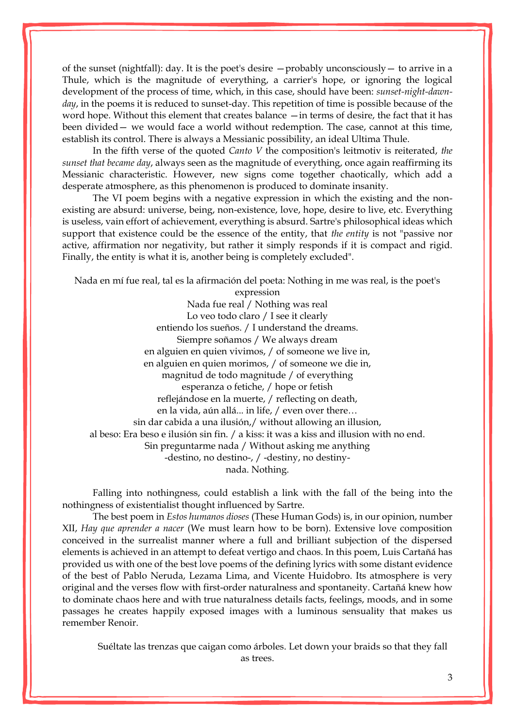of the sunset (nightfall): day. It is the poet's desire —probably unconsciously— to arrive in a Thule, which is the magnitude of everything, a carrier's hope, or ignoring the logical development of the process of time, which, in this case, should have been: *sunset-night-dawnday*, in the poems it is reduced to sunset-day. This repetition of time is possible because of the word hope. Without this element that creates balance —in terms of desire, the fact that it has been divided— we would face a world without redemption. The case, cannot at this time, establish its control. There is always a Messianic possibility, an ideal Ultima Thule.

In the fifth verse of the quoted *Canto V* the composition's leitmotiv is reiterated, *the sunset that became day*, always seen as the magnitude of everything, once again reaffirming its Messianic characteristic. However, new signs come together chaotically, which add a desperate atmosphere, as this phenomenon is produced to dominate insanity.

The VI poem begins with a negative expression in which the existing and the nonexisting are absurd: universe, being, non-existence, love, hope, desire to live, etc. Everything is useless, vain effort of achievement, everything is absurd. Sartre's philosophical ideas which support that existence could be the essence of the entity, that *the entity* is not "passive nor active, affirmation nor negativity, but rather it simply responds if it is compact and rigid. Finally, the entity is what it is, another being is completely excluded".

Nada en mí fue real, tal es la afirmación del poeta: Nothing in me was real, is the poet's

expression Nada fue real / Nothing was real Lo veo todo claro / I see it clearly entiendo los sueños. / I understand the dreams. Siempre soñamos / We always dream en alguien en quien vivimos, / of someone we live in, en alguien en quien morimos, / of someone we die in, magnitud de todo magnitude / of everything esperanza o fetiche, / hope or fetish reflejándose en la muerte, / reflecting on death, en la vida, aún allá... in life, / even over there… sin dar cabida a una ilusión,/ without allowing an illusion, al beso: Era beso e ilusión sin fin. / a kiss: it was a kiss and illusion with no end. Sin preguntarme nada / Without asking me anything -destino, no destino-, / -destiny, no destinynada. Nothing.

Falling into nothingness, could establish a link with the fall of the being into the nothingness of existentialist thought influenced by Sartre.

The best poem in *Estos humanos dioses* (These Human Gods) is, in our opinion, number XII, *Hay que aprender a nacer* (We must learn how to be born). Extensive love composition conceived in the surrealist manner where a full and brilliant subjection of the dispersed elements is achieved in an attempt to defeat vertigo and chaos. In this poem, Luis Cartañá has provided us with one of the best love poems of the defining lyrics with some distant evidence of the best of Pablo Neruda, Lezama Lima, and Vicente Huidobro. Its atmosphere is very original and the verses flow with first-order naturalness and spontaneity. Cartañá knew how to dominate chaos here and with true naturalness details facts, feelings, moods, and in some passages he creates happily exposed images with a luminous sensuality that makes us remember Renoir.

Suéltate las trenzas que caigan como árboles. Let down your braids so that they fall as trees.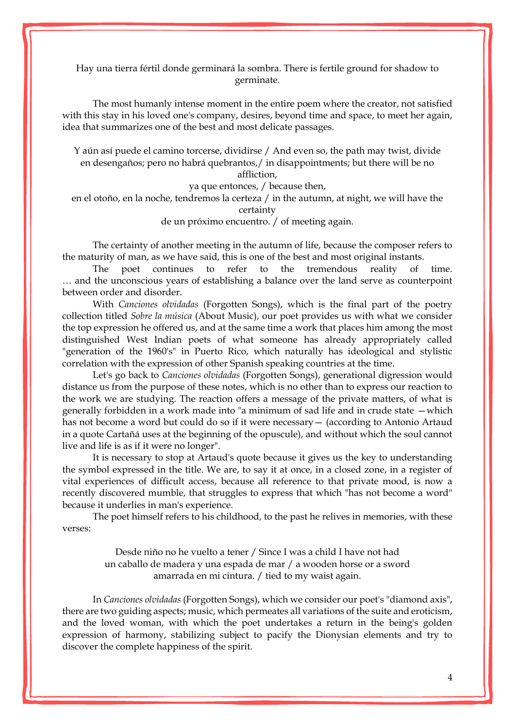Hay una tierra fértil donde germinará la sombra. There is fertile ground for shadow to germinate.

The most humanly intense moment in the entire poem where the creator, not satisfied with this stay in his loved one's company, desires, beyond time and space, to meet her again, idea that summarizes one of the best and most delicate passages.

Y aún así puede el camino torcerse, dividirse / And even so, the path may twist, divide en desengaños; pero no habrá quebrantos,/ in disappointments; but there will be no affliction,

ya que entonces, / because then,

en el otoño, en la noche, tendremos la certeza / in the autumn, at night, we will have the certainty

de un próximo encuentro. / of meeting again.

The certainty of another meeting in the autumn of life, because the composer refers to the maturity of man, as we have said, this is one of the best and most original instants.

The poet continues to refer to the tremendous reality of time. … and the unconscious years of establishing a balance over the land serve as counterpoint between order and disorder.

With *Canciones olvidadas* (Forgotten Songs), which is the final part of the poetry collection titled *Sobre la música* (About Music), our poet provides us with what we consider the top expression he offered us, and at the same time a work that places him among the most distinguished West Indian poets of what someone has already appropriately called "generation of the 1960's" in Puerto Rico, which naturally has ideological and stylistic correlation with the expression of other Spanish speaking countries at the time.

Let's go back to *Canciones olvidadas* (Forgotten Songs), generational digression would distance us from the purpose of these notes, which is no other than to express our reaction to the work we are studying. The reaction offers a message of the private matters, of what is generally forbidden in a work made into "a minimum of sad life and in crude state —which has not become a word but could do so if it were necessary— (according to Antonio Artaud in a quote Cartañá uses at the beginning of the opuscule), and without which the soul cannot live and life is as if it were no longer".

It is necessary to stop at Artaud's quote because it gives us the key to understanding the symbol expressed in the title. We are, to say it at once, in a closed zone, in a register of vital experiences of difficult access, because all reference to that private mood, is now a recently discovered mumble, that struggles to express that which "has not become a word" because it underlies in man's experience.

The poet himself refers to his childhood, to the past he relives in memories, with these verses:

> Desde niño no he vuelto a tener / Since I was a child I have not had un caballo de madera y una espada de mar / a wooden horse or a sword amarrada en mi cintura. / tied to my waist again.

In *Canciones olvidadas* (Forgotten Songs), which we consider our poet's "diamond axis", there are two guiding aspects; music, which permeates all variations of the suite and eroticism, and the loved woman, with which the poet undertakes a return in the being's golden expression of harmony, stabilizing subject to pacify the Dionysian elements and try to discover the complete happiness of the spirit.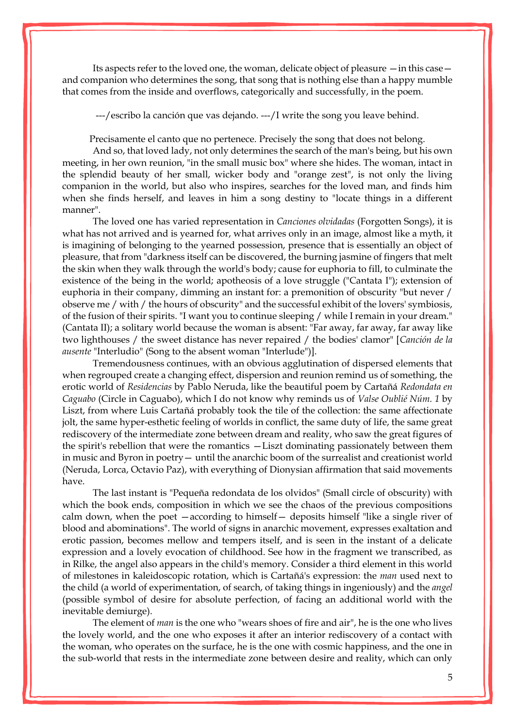Its aspects refer to the loved one, the woman, delicate object of pleasure —in this case and companion who determines the song, that song that is nothing else than a happy mumble that comes from the inside and overflows, categorically and successfully, in the poem.

---/escribo la canción que vas dejando. ---/I write the song you leave behind.

Precisamente el canto que no pertenece. Precisely the song that does not belong.

And so, that loved lady, not only determines the search of the man's being, but his own meeting, in her own reunion, "in the small music box" where she hides. The woman, intact in the splendid beauty of her small, wicker body and "orange zest", is not only the living companion in the world, but also who inspires, searches for the loved man, and finds him when she finds herself, and leaves in him a song destiny to "locate things in a different manner".

The loved one has varied representation in *Canciones olvidadas* (Forgotten Songs), it is what has not arrived and is yearned for, what arrives only in an image, almost like a myth, it is imagining of belonging to the yearned possession, presence that is essentially an object of pleasure, that from "darkness itself can be discovered, the burning jasmine of fingers that melt the skin when they walk through the world's body; cause for euphoria to fill, to culminate the existence of the being in the world; apotheosis of a love struggle ("Cantata I"); extension of euphoria in their company, dimming an instant for: a premonition of obscurity "but never / observe me / with / the hours of obscurity" and the successful exhibit of the lovers' symbiosis, of the fusion of their spirits. "I want you to continue sleeping / while I remain in your dream." (Cantata II); a solitary world because the woman is absent: "Far away, far away, far away like two lighthouses / the sweet distance has never repaired / the bodies' clamor" [*Canción de la ausente* "Interludio" (Song to the absent woman "Interlude")].

Tremendousness continues, with an obvious agglutination of dispersed elements that when regrouped create a changing effect, dispersion and reunion remind us of something, the erotic world of *Residencias* by Pablo Neruda, like the beautiful poem by Cartañá *Redondata en Caguabo* (Circle in Caguabo), which I do not know why reminds us of *Valse Oublié Núm. 1* by Liszt, from where Luis Cartañá probably took the tile of the collection: the same affectionate jolt, the same hyper-esthetic feeling of worlds in conflict, the same duty of life, the same great rediscovery of the intermediate zone between dream and reality, who saw the great figures of the spirit's rebellion that were the romantics —Liszt dominating passionately between them in music and Byron in poetry— until the anarchic boom of the surrealist and creationist world (Neruda, Lorca, Octavio Paz), with everything of Dionysian affirmation that said movements have.

The last instant is "Pequeña redondata de los olvidos" (Small circle of obscurity) with which the book ends, composition in which we see the chaos of the previous compositions calm down, when the poet —according to himself— deposits himself "like a single river of blood and abominations". The world of signs in anarchic movement, expresses exaltation and erotic passion, becomes mellow and tempers itself, and is seen in the instant of a delicate expression and a lovely evocation of childhood. See how in the fragment we transcribed, as in Rilke, the angel also appears in the child's memory. Consider a third element in this world of milestones in kaleidoscopic rotation, which is Cartañá's expression: the *man* used next to the child (a world of experimentation, of search, of taking things in ingeniously) and the *angel*  (possible symbol of desire for absolute perfection, of facing an additional world with the inevitable demiurge).

The element of *man* is the one who "wears shoes of fire and air", he is the one who lives the lovely world, and the one who exposes it after an interior rediscovery of a contact with the woman, who operates on the surface, he is the one with cosmic happiness, and the one in the sub-world that rests in the intermediate zone between desire and reality, which can only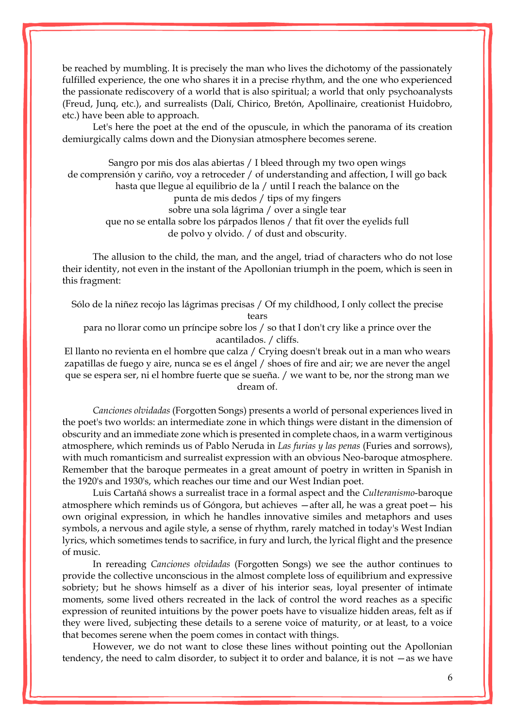be reached by mumbling. It is precisely the man who lives the dichotomy of the passionately fulfilled experience, the one who shares it in a precise rhythm, and the one who experienced the passionate rediscovery of a world that is also spiritual; a world that only psychoanalysts (Freud, Junq, etc.), and surrealists (Dalí, Chirico, Bretón, Apollinaire, creationist Huidobro, etc.) have been able to approach.

Let's here the poet at the end of the opuscule, in which the panorama of its creation demiurgically calms down and the Dionysian atmosphere becomes serene.

Sangro por mis dos alas abiertas / I bleed through my two open wings de comprensión y cariño, voy a retroceder / of understanding and affection, I will go back hasta que llegue al equilibrio de la / until I reach the balance on the punta de mis dedos / tips of my fingers sobre una sola lágrima / over a single tear que no se entalla sobre los párpados llenos / that fit over the eyelids full de polvo y olvido. / of dust and obscurity.

The allusion to the child, the man, and the angel, triad of characters who do not lose their identity, not even in the instant of the Apollonian triumph in the poem, which is seen in this fragment:

Sólo de la niñez recojo las lágrimas precisas / Of my childhood, I only collect the precise tears

para no llorar como un príncipe sobre los / so that I don't cry like a prince over the acantilados. / cliffs.

El llanto no revienta en el hombre que calza / Crying doesn't break out in a man who wears zapatillas de fuego y aire, nunca se es el ángel / shoes of fire and air; we are never the angel que se espera ser, ni el hombre fuerte que se sueña. / we want to be, nor the strong man we dream of.

*Canciones olvidadas* (Forgotten Songs) presents a world of personal experiences lived in the poet's two worlds: an intermediate zone in which things were distant in the dimension of obscurity and an immediate zone which is presented in complete chaos, in a warm vertiginous atmosphere, which reminds us of Pablo Neruda in *Las furias y las penas* (Furies and sorrows), with much romanticism and surrealist expression with an obvious Neo-baroque atmosphere. Remember that the baroque permeates in a great amount of poetry in written in Spanish in the 1920's and 1930's, which reaches our time and our West Indian poet.

Luis Cartañá shows a surrealist trace in a formal aspect and the *Culteranismo*-baroque atmosphere which reminds us of Góngora, but achieves —after all, he was a great poet— his own original expression, in which he handles innovative similes and metaphors and uses symbols, a nervous and agile style, a sense of rhythm, rarely matched in today's West Indian lyrics, which sometimes tends to sacrifice, in fury and lurch, the lyrical flight and the presence of music.

In rereading *Canciones olvidadas* (Forgotten Songs) we see the author continues to provide the collective unconscious in the almost complete loss of equilibrium and expressive sobriety; but he shows himself as a diver of his interior seas, loyal presenter of intimate moments, some lived others recreated in the lack of control the word reaches as a specific expression of reunited intuitions by the power poets have to visualize hidden areas, felt as if they were lived, subjecting these details to a serene voice of maturity, or at least, to a voice that becomes serene when the poem comes in contact with things.

However, we do not want to close these lines without pointing out the Apollonian tendency, the need to calm disorder, to subject it to order and balance, it is not —as we have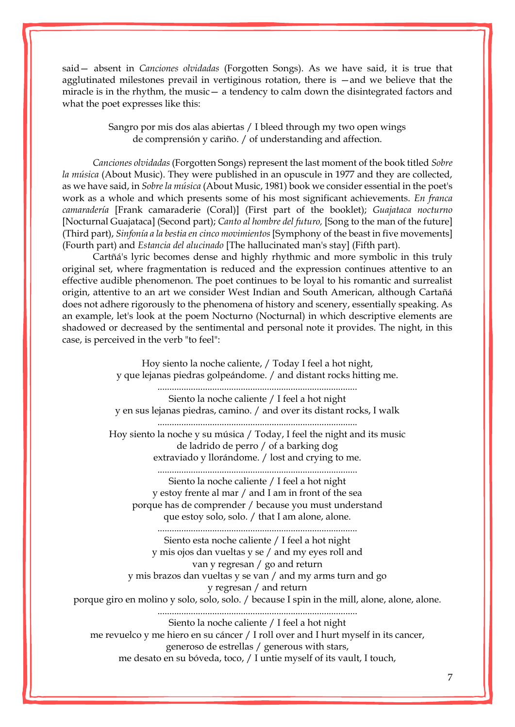said— absent in *Canciones olvidadas* (Forgotten Songs). As we have said, it is true that agglutinated milestones prevail in vertiginous rotation, there is —and we believe that the miracle is in the rhythm, the music— a tendency to calm down the disintegrated factors and what the poet expresses like this:

> Sangro por mis dos alas abiertas / I bleed through my two open wings de comprensión y cariño. / of understanding and affection.

*Canciones olvidadas* (Forgotten Songs) represent the last moment of the book titled *Sobre la música* (About Music). They were published in an opuscule in 1977 and they are collected, as we have said, in *Sobre la música* (About Music, 1981) book we consider essential in the poet's work as a whole and which presents some of his most significant achievements. *En franca camaradería* [Frank camaraderie (Coral)] (First part of the booklet); *Guajataca nocturno* [Nocturnal Guajataca] (Second part); *Canto al hombre del futuro,* [Song to the man of the future] (Third part), *Sinfonía a la bestia en cinco movimientos* [Symphony of the beast in five movements] (Fourth part) and *Estancia del alucinado* [The hallucinated man's stay] (Fifth part).

Cartñá's lyric becomes dense and highly rhythmic and more symbolic in this truly original set, where fragmentation is reduced and the expression continues attentive to an effective audible phenomenon. The poet continues to be loyal to his romantic and surrealist origin, attentive to an art we consider West Indian and South American, although Cartañá does not adhere rigorously to the phenomena of history and scenery, essentially speaking. As an example, let's look at the poem Nocturno (Nocturnal) in which descriptive elements are shadowed or decreased by the sentimental and personal note it provides. The night, in this case, is perceived in the verb "to feel":

Hoy siento la noche caliente, / Today I feel a hot night, y que lejanas piedras golpeándome. / and distant rocks hitting me. .................................................................................... Siento la noche caliente / I feel a hot night y en sus lejanas piedras, camino. / and over its distant rocks, I walk .................................................................................... Hoy siento la noche y su música / Today, I feel the night and its music de ladrido de perro / of a barking dog extraviado y llorándome. / lost and crying to me. .................................................................................... Siento la noche caliente / I feel a hot night y estoy frente al mar / and I am in front of the sea porque has de comprender / because you must understand que estoy solo, solo. / that I am alone, alone. .................................................................................... Siento esta noche caliente / I feel a hot night y mis ojos dan vueltas y se / and my eyes roll and van y regresan / go and return y mis brazos dan vueltas y se van / and my arms turn and go y regresan / and return porque giro en molino y solo, solo, solo. / because I spin in the mill, alone, alone, alone. .................................................................................... Siento la noche caliente / I feel a hot night me revuelco y me hiero en su cáncer / I roll over and I hurt myself in its cancer, generoso de estrellas / generous with stars, me desato en su bóveda, toco, / I untie myself of its vault, I touch,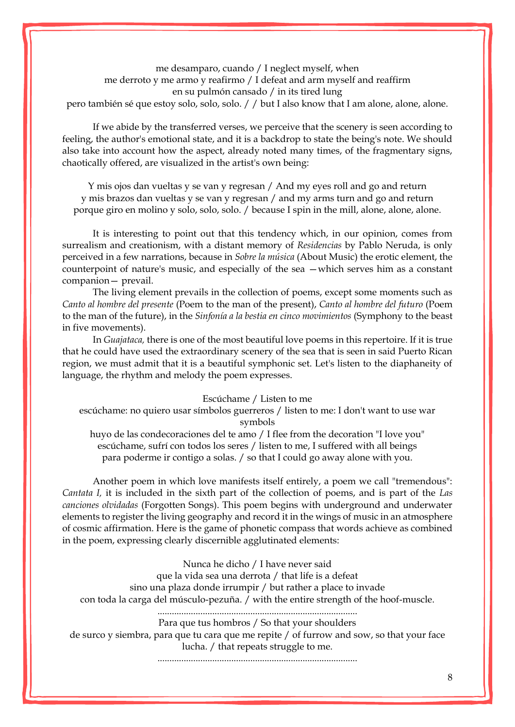me desamparo, cuando / I neglect myself, when me derroto y me armo y reafirmo / I defeat and arm myself and reaffirm en su pulmón cansado / in its tired lung pero también sé que estoy solo, solo, solo. / / but I also know that I am alone, alone, alone.

If we abide by the transferred verses, we perceive that the scenery is seen according to feeling, the author's emotional state, and it is a backdrop to state the being's note. We should also take into account how the aspect, already noted many times, of the fragmentary signs, chaotically offered, are visualized in the artist's own being:

Y mis ojos dan vueltas y se van y regresan / And my eyes roll and go and return y mis brazos dan vueltas y se van y regresan / and my arms turn and go and return porque giro en molino y solo, solo, solo. / because I spin in the mill, alone, alone, alone.

It is interesting to point out that this tendency which, in our opinion, comes from surrealism and creationism, with a distant memory of *Residencias* by Pablo Neruda, is only perceived in a few narrations, because in *Sobre la música* (About Music) the erotic element, the counterpoint of nature's music, and especially of the sea —which serves him as a constant companion— prevail.

The living element prevails in the collection of poems, except some moments such as *Canto al hombre del presente* (Poem to the man of the present), *Canto al hombre del futuro* (Poem to the man of the future), in the *Sinfonía a la bestia en cinco movimientos* (Symphony to the beast in five movements).

In *Guajataca,* there is one of the most beautiful love poems in this repertoire. If it is true that he could have used the extraordinary scenery of the sea that is seen in said Puerto Rican region, we must admit that it is a beautiful symphonic set. Let's listen to the diaphaneity of language, the rhythm and melody the poem expresses.

#### Escúchame / Listen to me

escúchame: no quiero usar símbolos guerreros / listen to me: I don't want to use war symbols

huyo de las condecoraciones del te amo / I flee from the decoration "I love you" escúchame, sufrí con todos los seres / listen to me, I suffered with all beings para poderme ir contigo a solas. / so that I could go away alone with you.

Another poem in which love manifests itself entirely, a poem we call "tremendous": *Cantata I,* it is included in the sixth part of the collection of poems, and is part of the *Las canciones olvidadas* (Forgotten Songs). This poem begins with underground and underwater elements to register the living geography and record it in the wings of music in an atmosphere of cosmic affirmation. Here is the game of phonetic compass that words achieve as combined in the poem, expressing clearly discernible agglutinated elements:

> Nunca he dicho / I have never said que la vida sea una derrota / that life is a defeat

sino una plaza donde irrumpir / but rather a place to invade

con toda la carga del músculo-pezuña. / with the entire strength of the hoof-muscle.

#### ....................................................................................

Para que tus hombros / So that your shoulders de surco y siembra, para que tu cara que me repite / of furrow and sow, so that your face lucha. / that repeats struggle to me.

....................................................................................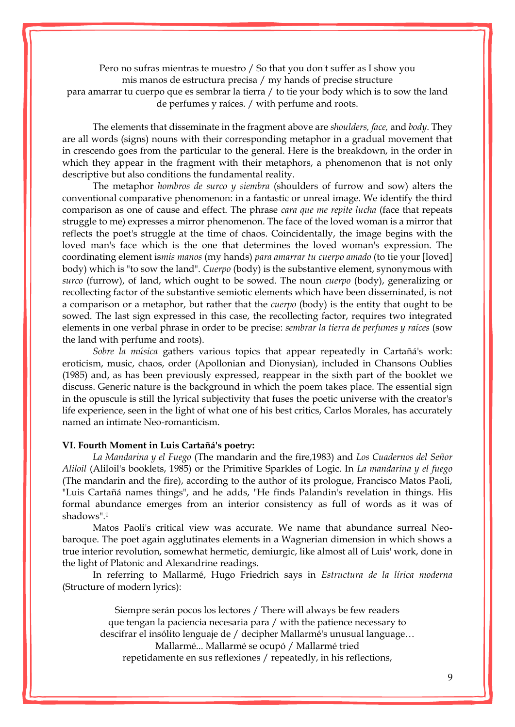Pero no sufras mientras te muestro / So that you don't suffer as I show you mis manos de estructura precisa / my hands of precise structure para amarrar tu cuerpo que es sembrar la tierra / to tie your body which is to sow the land de perfumes y raíces. / with perfume and roots.

The elements that disseminate in the fragment above are *shoulders, face,* and *body*. They are all words (signs) nouns with their corresponding metaphor in a gradual movement that in crescendo goes from the particular to the general. Here is the breakdown, in the order in which they appear in the fragment with their metaphors, a phenomenon that is not only descriptive but also conditions the fundamental reality.

The metaphor *hombros de surco y siembra* (shoulders of furrow and sow) alters the conventional comparative phenomenon: in a fantastic or unreal image. We identify the third comparison as one of cause and effect. The phrase *cara que me repite lucha* (face that repeats struggle to me) expresses a mirror phenomenon. The face of the loved woman is a mirror that reflects the poet's struggle at the time of chaos. Coincidentally, the image begins with the loved man's face which is the one that determines the loved woman's expression. The coordinating element is*mis manos* (my hands) *para amarrar tu cuerpo amado* (to tie your [loved] body) which is "to sow the land". *Cuerpo* (body) is the substantive element, synonymous with *surco* (furrow), of land, which ought to be sowed. The noun *cuerpo* (body), generalizing or recollecting factor of the substantive semiotic elements which have been disseminated, is not a comparison or a metaphor, but rather that the *cuerpo* (body) is the entity that ought to be sowed. The last sign expressed in this case, the recollecting factor, requires two integrated elements in one verbal phrase in order to be precise: *sembrar la tierra de perfumes y raíces* (sow the land with perfume and roots).

*Sobre la música* gathers various topics that appear repeatedly in Cartañá's work: eroticism, music, chaos, order (Apollonian and Dionysian), included in Chansons Oublies (1985) and, as has been previously expressed, reappear in the sixth part of the booklet we discuss. Generic nature is the background in which the poem takes place. The essential sign in the opuscule is still the lyrical subjectivity that fuses the poetic universe with the creator's life experience, seen in the light of what one of his best critics, Carlos Morales, has accurately named an intimate Neo-romanticism.

#### **VI. Fourth Moment in Luis Cartañá's poetry:**

*La Mandarina y el Fuego* (The mandarin and the fire,1983) and *Los Cuadernos del Señor Aliloil* (Aliloil's booklets, 1985) or the Primitive Sparkles of Logic. In *La mandarina y el fuego* (The mandarin and the fire), according to the author of its prologue, Francisco Matos Paoli, "Luis Cartañá names things", and he adds, "He finds Palandin's revelation in things. His formal abundance emerges from an interior consistency as full of words as it was of shadows".<sup>1</sup>

Matos Paoli's critical view was accurate. We name that abundance surreal Neobaroque. The poet again agglutinates elements in a Wagnerian dimension in which shows a true interior revolution, somewhat hermetic, demiurgic, like almost all of Luis' work, done in the light of Platonic and Alexandrine readings.

In referring to Mallarmé, Hugo Friedrich says in *Estructura de la lírica moderna*  (Structure of modern lyrics):

Siempre serán pocos los lectores / There will always be few readers que tengan la paciencia necesaria para / with the patience necessary to descifrar el insólito lenguaje de / decipher Mallarmé's unusual language… Mallarmé... Mallarmé se ocupó / Mallarmé tried repetidamente en sus reflexiones / repeatedly, in his reflections,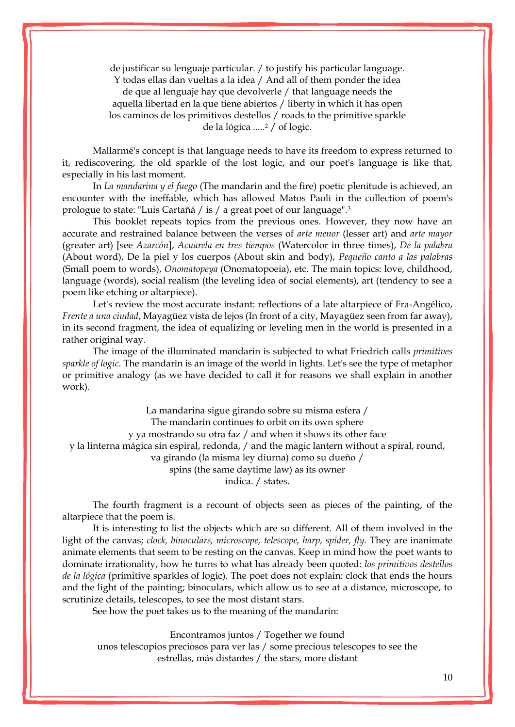de justificar su lenguaje particular. / to justify his particular language. Y todas ellas dan vueltas a la idea / And all of them ponder the idea de que al lenguaje hay que devolverle / that language needs the aquella libertad en la que tiene abiertos / liberty in which it has open los caminos de los primitivos destellos / roads to the primitive sparkle de la lógica .....<sup>2</sup> / of logic.

Mallarmé's concept is that language needs to have its freedom to express returned to it, rediscovering, the old sparkle of the lost logic, and our poet's language is like that, especially in his last moment.

In *La mandarina y el fuego* (The mandarin and the fire) poetic plenitude is achieved, an encounter with the ineffable, which has allowed Matos Paoli in the collection of poem's prologue to state: "Luis Cartañá / is / a great poet of our language".<sup>3</sup>

This booklet repeats topics from the previous ones. However, they now have an accurate and restrained balance between the verses of *arte menor* (lesser art) and *arte mayor* (greater art) [see *Azarcón*], *Acuarela en tres tiempos* (Watercolor in three times), *De la palabra*  (About word), De la piel y los cuerpos (About skin and body), *Pequeño canto a las palabras* (Small poem to words), *Onomatopeya* (Onomatopoeia), etc. The main topics: love, childhood, language (words), social realism (the leveling idea of social elements), art (tendency to see a poem like etching or altarpiece).

Let's review the most accurate instant: reflections of a late altarpiece of Fra-Angélico, *Frente a una ciudad*, Mayagüez vista de lejos (In front of a city, Mayagüez seen from far away), in its second fragment, the idea of equalizing or leveling men in the world is presented in a rather original way.

The image of the illuminated mandarin is subjected to what Friedrich calls *primitives sparkle of logic*. The mandarin is an image of the world in lights. Let's see the type of metaphor or primitive analogy (as we have decided to call it for reasons we shall explain in another work).

La mandarina sigue girando sobre su misma esfera / The mandarin continues to orbit on its own sphere y ya mostrando su otra faz / and when it shows its other face y la linterna mágica sin espiral, redonda, / and the magic lantern without a spiral, round, va girando (la misma ley diurna) como su dueño / spins (the same daytime law) as its owner indica. / states.

The fourth fragment is a recount of objects seen as pieces of the painting, of the altarpiece that the poem is.

It is interesting to list the objects which are so different. All of them involved in the light of the canvas; *clock, binoculars, microscope, telescope, harp, spider, fly.* They are inanimate animate elements that seem to be resting on the canvas. Keep in mind how the poet wants to dominate irrationality, how he turns to what has already been quoted: *los primitivos destellos de la lógica* (primitive sparkles of logic). The poet does not explain: clock that ends the hours and the light of the painting; binoculars, which allow us to see at a distance, microscope, to scrutinize details, telescopes, to see the most distant stars.

See how the poet takes us to the meaning of the mandarin:

Encontramos juntos / Together we found

unos telescopios preciosos para ver las / some precious telescopes to see the estrellas, más distantes / the stars, more distant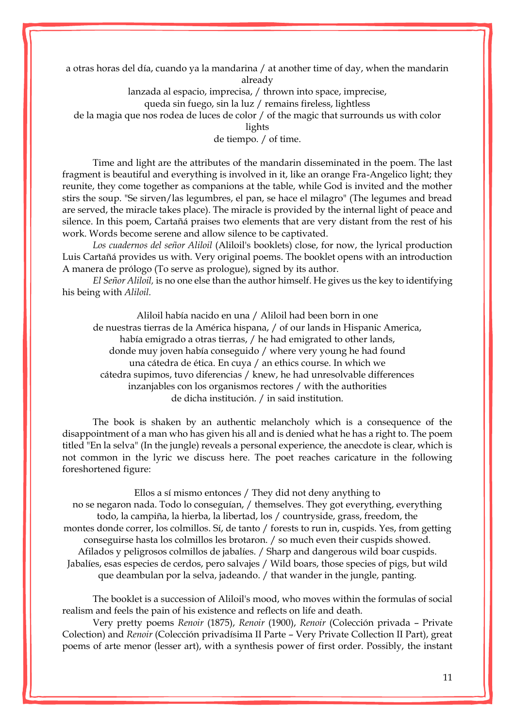a otras horas del día, cuando ya la mandarina / at another time of day, when the mandarin already

lanzada al espacio, imprecisa, / thrown into space, imprecise,

queda sin fuego, sin la luz / remains fireless, lightless

de la magia que nos rodea de luces de color / of the magic that surrounds us with color

lights

de tiempo. / of time.

Time and light are the attributes of the mandarin disseminated in the poem. The last fragment is beautiful and everything is involved in it, like an orange Fra-Angelico light; they reunite, they come together as companions at the table, while God is invited and the mother stirs the soup. "Se sirven/las legumbres, el pan, se hace el milagro" (The legumes and bread are served, the miracle takes place). The miracle is provided by the internal light of peace and silence. In this poem, Cartañá praises two elements that are very distant from the rest of his work. Words become serene and allow silence to be captivated.

*Los cuadernos del señor Aliloil* (Aliloil's booklets) close, for now, the lyrical production Luis Cartañá provides us with. Very original poems. The booklet opens with an introduction A manera de prólogo (To serve as prologue), signed by its author.

*El Señor Aliloil,* is no one else than the author himself. He gives us the key to identifying his being with *Aliloil.*

Aliloil había nacido en una / Aliloil had been born in one de nuestras tierras de la América hispana, / of our lands in Hispanic America, había emigrado a otras tierras, / he had emigrated to other lands, donde muy joven había conseguido / where very young he had found una cátedra de ética. En cuya / an ethics course. In which we cátedra supimos, tuvo diferencias / knew, he had unresolvable differences inzanjables con los organismos rectores / with the authorities de dicha institución. / in said institution.

The book is shaken by an authentic melancholy which is a consequence of the disappointment of a man who has given his all and is denied what he has a right to. The poem titled "En la selva" (In the jungle) reveals a personal experience, the anecdote is clear, which is not common in the lyric we discuss here. The poet reaches caricature in the following foreshortened figure:

Ellos a sí mismo entonces / They did not deny anything to no se negaron nada. Todo lo conseguían, / themselves. They got everything, everything todo, la campiña, la hierba, la libertad, los / countryside, grass, freedom, the montes donde correr, los colmillos. Sí, de tanto / forests to run in, cuspids. Yes, from getting conseguirse hasta los colmillos les brotaron. / so much even their cuspids showed. Afilados y peligrosos colmillos de jabalíes. / Sharp and dangerous wild boar cuspids. Jabalíes, esas especies de cerdos, pero salvajes / Wild boars, those species of pigs, but wild que deambulan por la selva, jadeando. / that wander in the jungle, panting.

The booklet is a succession of Aliloil's mood, who moves within the formulas of social realism and feels the pain of his existence and reflects on life and death.

Very pretty poems *Renoir* (1875), *Renoir* (1900), *Renoir* (Colección privada – Private Colection) and *Renoir* (Colección privadísima II Parte – Very Private Collection II Part), great poems of arte menor (lesser art), with a synthesis power of first order. Possibly, the instant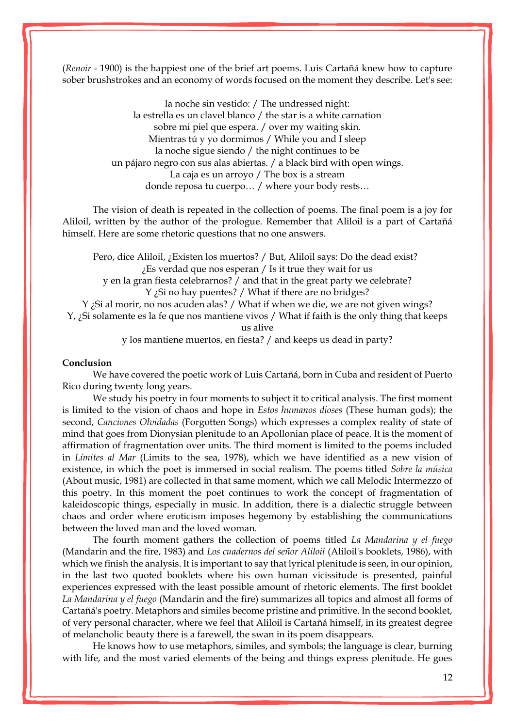(*Renoir* - 1900) is the happiest one of the brief art poems. Luis Cartañá knew how to capture sober brushstrokes and an economy of words focused on the moment they describe. Let's see:

> la noche sin vestido: / The undressed night: la estrella es un clavel blanco / the star is a white carnation sobre mi piel que espera. / over my waiting skin. Mientras tú y yo dormimos / While you and I sleep la noche sigue siendo / the night continues to be un pájaro negro con sus alas abiertas. / a black bird with open wings. La caja es un arroyo / The box is a stream donde reposa tu cuerpo… / where your body rests…

The vision of death is repeated in the collection of poems. The final poem is a joy for Aliloil, written by the author of the prologue. Remember that Aliloil is a part of Cartañá himself. Here are some rhetoric questions that no one answers.

Pero, dice Aliloil, ¿Existen los muertos? / But, Aliloil says: Do the dead exist? ¿Es verdad que nos esperan / Is it true they wait for us

y en la gran fiesta celebrarnos? / and that in the great party we celebrate? Y ¿Si no hay puentes? / What if there are no bridges?

Y ¿Si al morir, no nos acuden alas? / What if when we die, we are not given wings?

Y, ¿Si solamente es la fe que nos mantiene vivos / What if faith is the only thing that keeps us alive

y los mantiene muertos, en fiesta? / and keeps us dead in party?

# **Conclusion**

We have covered the poetic work of Luis Cartañá, born in Cuba and resident of Puerto Rico during twenty long years.

We study his poetry in four moments to subject it to critical analysis. The first moment is limited to the vision of chaos and hope in *Estos humanos dioses* (These human gods); the second, *Canciones Olvidadas* (Forgotten Songs) which expresses a complex reality of state of mind that goes from Dionysian plenitude to an Apollonian place of peace. It is the moment of affirmation of fragmentation over units. The third moment is limited to the poems included in *Límites al Mar* (Limits to the sea, 1978), which we have identified as a new vision of existence, in which the poet is immersed in social realism. The poems titled *Sobre la música*  (About music, 1981) are collected in that same moment, which we call Melodic Intermezzo of this poetry. In this moment the poet continues to work the concept of fragmentation of kaleidoscopic things, especially in music. In addition, there is a dialectic struggle between chaos and order where eroticism imposes hegemony by establishing the communications between the loved man and the loved woman.

The fourth moment gathers the collection of poems titled *La Mandarina y el fuego* (Mandarin and the fire, 1983) and *Los cuadernos del señor Aliloil* (Aliloil's booklets, 1986), with which we finish the analysis. It is important to say that lyrical plenitude is seen, in our opinion, in the last two quoted booklets where his own human vicissitude is presented, painful experiences expressed with the least possible amount of rhetoric elements. The first booklet *La Mandarina y el fuego* (Mandarin and the fire) summarizes all topics and almost all forms of Cartañá's poetry. Metaphors and similes become pristine and primitive. In the second booklet, of very personal character, where we feel that Aliloil is Cartañá himself, in its greatest degree of melancholic beauty there is a farewell, the swan in its poem disappears.

He knows how to use metaphors, similes, and symbols; the language is clear, burning with life, and the most varied elements of the being and things express plenitude. He goes